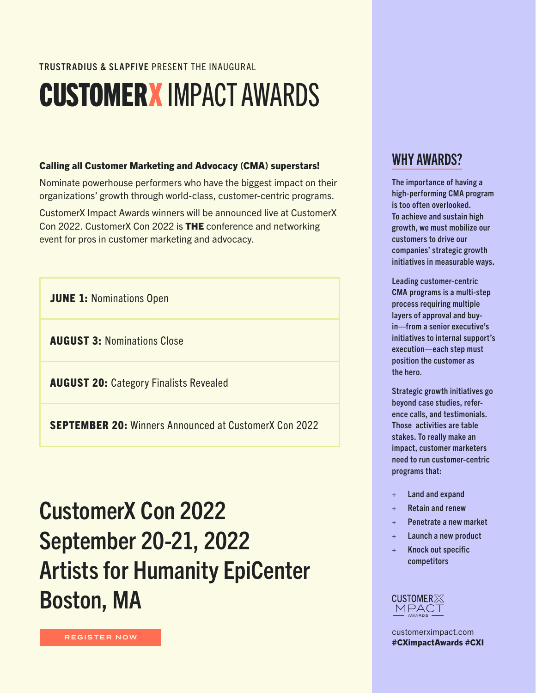#### TRUSTRADIUS & SLAPFIVE PRESENT THE INAUGURAL

## CUSTOMERXIMPACT AWARDS

#### Calling all Customer Marketing and Advocacy (CMA) superstars!

Nominate powerhouse performers who have the biggest impact on their organizations' growth through world-class, customer-centric programs.

CustomerX Impact Awards winners will be announced live at CustomerX Con 2022. CustomerX Con 2022 is THE conference and networking event for pros in customer marketing and advocacy.

**JUNE 1: Nominations Open** 

AUGUST 3: Nominations Close

AUGUST 20: Category Finalists Revealed

SEPTEMBER 20: Winners Announced at CustomerX Con 2022

### CustomerX Con 2022 September 20-21, 2022 Artists for Humanity EpiCenter Boston, MA



The importance of having a high-performing CMA program is too often overlooked. To achieve and sustain high growth, we must mobilize our customers to drive our companies' strategic growth initiatives in measurable ways.

Leading customer-centric CMA programs is a multi-step process requiring multiple layers of approval and buyin—from a senior executive's initiatives to internal support's execution—each step must position the customer as the hero.

Strategic growth initiatives go beyond case studies, reference calls, and testimonials. Those activities are table stakes. To really make an impact, customer marketers need to run customer-centric programs that:

- + Land and expand
- Retain and renew
- + Penetrate a new market
- + Launch a new product
- + Knock out specific competitors

#### **CUSTOMER** X **IMPACT**

[customerximpact.com](http://customerximpact.com) #CXimpactAwards #CXI